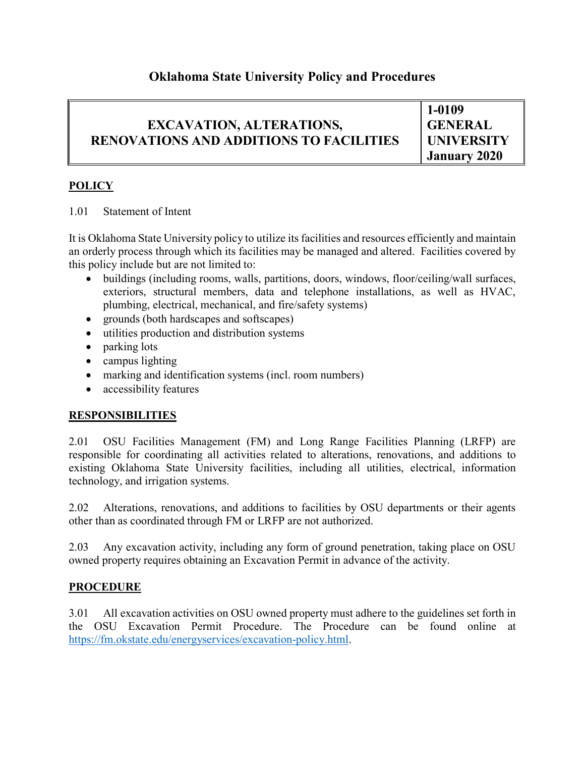## **Oklahoma State University Policy and Procedures**

# **EXCAVATION, ALTERATIONS, RENOVATIONS AND ADDITIONS TO FACILITIES**

**1-0109 GENERAL UNIVERSITY January 2020**

### **POLICY**

#### 1.01 Statement of Intent

It is Oklahoma State University policy to utilize its facilities and resources efficiently and maintain an orderly process through which its facilities may be managed and altered. Facilities covered by this policy include but are not limited to:

- buildings (including rooms, walls, partitions, doors, windows, floor/ceiling/wall surfaces, exteriors, structural members, data and telephone installations, as well as HVAC, plumbing, electrical, mechanical, and fire/safety systems)
- grounds (both hardscapes and softscapes)
- utilities production and distribution systems
- parking lots
- campus lighting
- marking and identification systems (incl. room numbers)
- accessibility features

## **RESPONSIBILITIES**

2.01 OSU Facilities Management (FM) and Long Range Facilities Planning (LRFP) are responsible for coordinating all activities related to alterations, renovations, and additions to existing Oklahoma State University facilities, including all utilities, electrical, information technology, and irrigation systems.

2.02 Alterations, renovations, and additions to facilities by OSU departments or their agents other than as coordinated through FM or LRFP are not authorized.

2.03 Any excavation activity, including any form of ground penetration, taking place on OSU owned property requires obtaining an Excavation Permit in advance of the activity.

## **PROCEDURE**

3.01 All excavation activities on OSU owned property must adhere to the guidelines set forth in the OSU Excavation Permit Procedure. The Procedure can be found online at [https://fm.okstate.edu/energyservices/excavation-policy.html.](https://fm.okstate.edu/energyservices/excavation-policy.html)